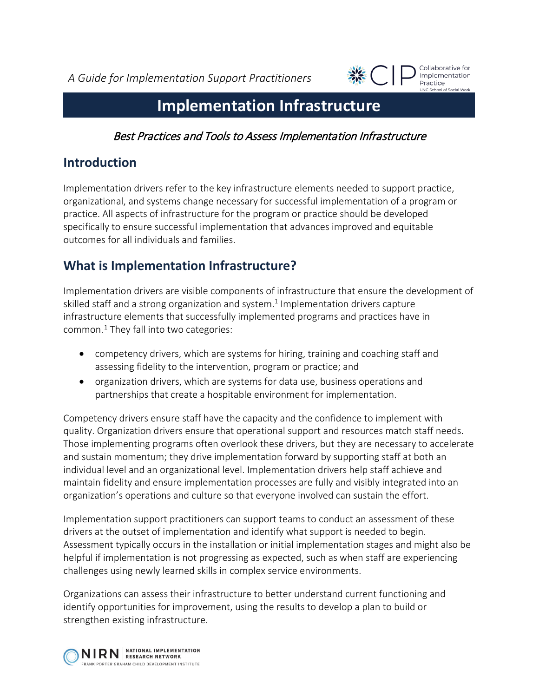*A Guide for Implementation Support Practitioners*



Collaborative for Implementation Practice **LINC School of Social Work** 

# **Implementation Infrastructure**

Best Practices and Tools to Assess Implementation Infrastructure

### **Introduction**

Implementation drivers refer to the key infrastructure elements needed to support practice, organizational, and systems change necessary for successful implementation of a program or practice. All aspects of infrastructure for the program or practice should be developed specifically to ensure successful implementation that advances improved and equitable outcomes for all individuals and families.

## **What is Implementation Infrastructure?**

Implementation drivers are visible components of infrastructure that ensure the development of skilled staff and a strong organization and system. $1$  Implementation drivers capture infrastructure elements that successfully implemented programs and practices have in common. $1$  They fall into two categories:

- competency drivers, which are systems for hiring, training and coaching staff and assessing fidelity to the intervention, program or practice; and
- organization drivers, which are systems for data use, business operations and partnerships that create a hospitable environment for implementation.

Competency drivers ensure staff have the capacity and the confidence to implement with quality. Organization drivers ensure that operational support and resources match staff needs. Those implementing programs often overlook these drivers, but they are necessary to accelerate and sustain momentum; they drive implementation forward by supporting staff at both an individual level and an organizational level. Implementation drivers help staff achieve and maintain fidelity and ensure implementation processes are fully and visibly integrated into an organization's operations and culture so that everyone involved can sustain the effort.

Implementation support practitioners can support teams to conduct an assessment of these drivers at the outset of implementation and identify what support is needed to begin. Assessment typically occurs in the installation or initial implementation stages and might also be helpful if implementation is not progressing as expected, such as when staff are experiencing challenges using newly learned skills in complex service environments.

Organizations can assess their infrastructure to better understand current functioning and identify opportunities for improvement, using the results to develop a plan to build or strengthen existing infrastructure.

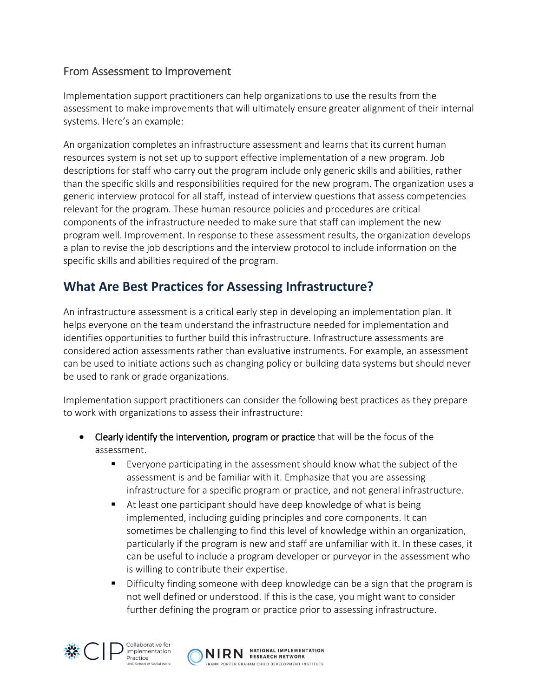### From Assessment to Improvement

Implementation support practitioners can help organizations to use the results from the assessment to make improvements that will ultimately ensure greater alignment of their internal systems. Here's an example:

An organization completes an infrastructure assessment and learns that its current human resources system is not set up to support effective implementation of a new program. Job descriptions for staff who carry out the program include only generic skills and abilities, rather than the specific skills and responsibilities required for the new program. The organization uses a generic interview protocol for all staff, instead of interview questions that assess competencies relevant for the program. These human resource policies and procedures are critical components of the infrastructure needed to make sure that staff can implement the new program well. Improvement. In response to these assessment results, the organization develops a plan to revise the job descriptions and the interview protocol to include information on the specific skills and abilities required of the program.

## **What Are Best Practices for Assessing Infrastructure?**

An infrastructure assessment is a critical early step in developing an implementation plan. It helps everyone on the team understand the infrastructure needed for implementation and identifies opportunities to further build this infrastructure. Infrastructure assessments are considered action assessments rather than evaluative instruments. For example, an assessment can be used to initiate actions such as changing policy or building data systems but should never be used to rank or grade organizations.

Implementation support practitioners can consider the following best practices as they prepare to work with organizations to assess their infrastructure:

- Clearly identify the intervention, program or practice that will be the focus of the assessment.
	- Everyone participating in the assessment should know what the subject of the assessment is and be familiar with it. Emphasize that you are assessing infrastructure for a specific program or practice, and not general infrastructure.
	- At least one participant should have deep knowledge of what is being implemented, including guiding principles and core components. It can sometimes be challenging to find this level of knowledge within an organization, particularly if the program is new and staff are unfamiliar with it. In these cases, it can be useful to include a program developer or purveyor in the assessment who is willing to contribute their expertise.
	- Difficulty finding someone with deep knowledge can be a sign that the program is not well defined or understood. If this is the case, you might want to consider further defining the program or practice prior to assessing infrastructure.



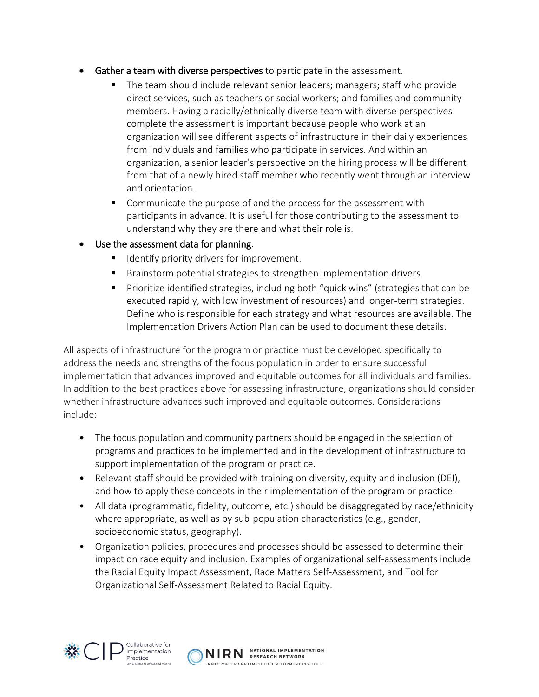- Gather a team with diverse perspectives to participate in the assessment.
	- The team should include relevant senior leaders; managers; staff who provide direct services, such as teachers or social workers; and families and community members. Having a racially/ethnically diverse team with diverse perspectives complete the assessment is important because people who work at an organization will see different aspects of infrastructure in their daily experiences from individuals and families who participate in services. And within an organization, a senior leader's perspective on the hiring process will be different from that of a newly hired staff member who recently went through an interview and orientation.
	- **Communicate the purpose of and the process for the assessment with** participants in advance. It is useful for those contributing to the assessment to understand why they are there and what their role is.

#### Use the assessment data for planning.

- **If** Identify priority drivers for improvement.
- **Brainstorm potential strategies to strengthen implementation drivers.**
- **Prioritize identified strategies, including both "quick wins" (strategies that can be** executed rapidly, with low investment of resources) and longer-term strategies. Define who is responsible for each strategy and what resources are available. The Implementation Drivers Action Plan can be used to document these details.

All aspects of infrastructure for the program or practice must be developed specifically to address the needs and strengths of the focus population in order to ensure successful implementation that advances improved and equitable outcomes for all individuals and families. In addition to the best practices above for assessing infrastructure, organizations should consider whether infrastructure advances such improved and equitable outcomes. Considerations include:

- The focus population and community partners should be engaged in the selection of programs and practices to be implemented and in the development of infrastructure to support implementation of the program or practice.
- Relevant staff should be provided with training on diversity, equity and inclusion (DEI), and how to apply these concepts in their implementation of the program or practice.
- All data (programmatic, fidelity, outcome, etc.) should be disaggregated by race/ethnicity where appropriate, as well as by sub-population characteristics (e.g., gender, socioeconomic status, geography).
- Organization policies, procedures and processes should be assessed to determine their impact on race equity and inclusion. Examples of organizational self-assessments include the Racial Equity Impact Assessment, Race Matters Self-Assessment, and Tool for Organizational Self-Assessment Related to Racial Equity.



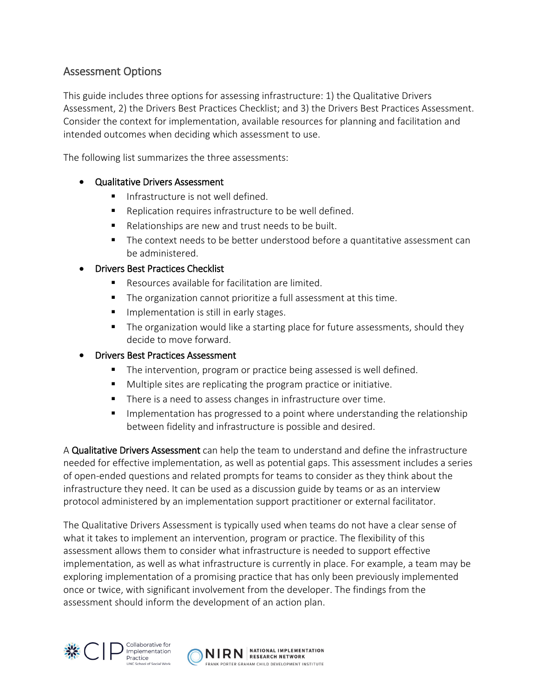### Assessment Options

This guide includes three options for assessing infrastructure: 1) the Qualitative Drivers Assessment, 2) the Drivers Best Practices Checklist; and 3) the Drivers Best Practices Assessment. Consider the context for implementation, available resources for planning and facilitation and intended outcomes when deciding which assessment to use.

The following list summarizes the three assessments:

#### • Qualitative Drivers Assessment

- **IF** Infrastructure is not well defined.
- Replication requires infrastructure to be well defined.
- Relationships are new and trust needs to be built.
- The context needs to be better understood before a quantitative assessment can be administered.

#### • Drivers Best Practices Checklist

- Resources available for facilitation are limited.
- The organization cannot prioritize a full assessment at this time.
- **IMPLE** Implementation is still in early stages.
- **The organization would like a starting place for future assessments, should they** decide to move forward.

#### • Drivers Best Practices Assessment

- The intervention, program or practice being assessed is well defined.
- Multiple sites are replicating the program practice or initiative.
- There is a need to assess changes in infrastructure over time.
- **IMPLEM** Implementation has progressed to a point where understanding the relationship between fidelity and infrastructure is possible and desired.

A Qualitative Drivers Assessment can help the team to understand and define the infrastructure needed for effective implementation, as well as potential gaps. This assessment includes a series of open-ended questions and related prompts for teams to consider as they think about the infrastructure they need. It can be used as a discussion guide by teams or as an interview protocol administered by an implementation support practitioner or external facilitator.

The Qualitative Drivers Assessment is typically used when teams do not have a clear sense of what it takes to implement an intervention, program or practice. The flexibility of this assessment allows them to consider what infrastructure is needed to support effective implementation, as well as what infrastructure is currently in place. For example, a team may be exploring implementation of a promising practice that has only been previously implemented once or twice, with significant involvement from the developer. The findings from the assessment should inform the development of an action plan.



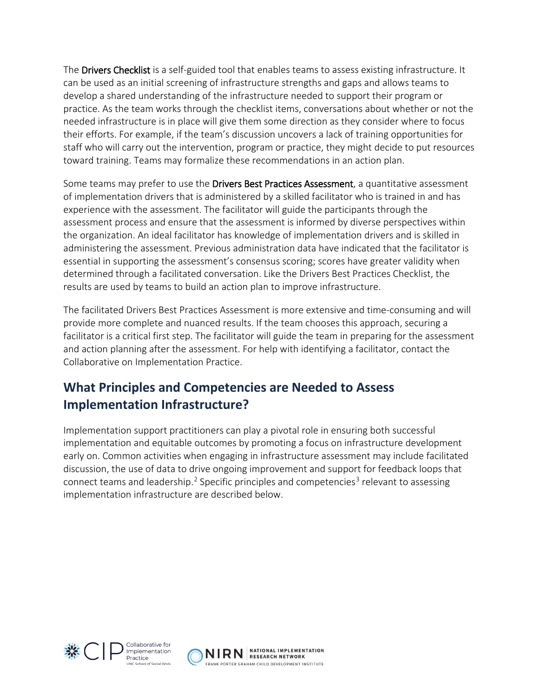The **Drivers Checklist** is a self-guided tool that enables teams to assess existing infrastructure. It can be used as an initial screening of infrastructure strengths and gaps and allows teams to develop a shared understanding of the infrastructure needed to support their program or practice. As the team works through the checklist items, conversations about whether or not the needed infrastructure is in place will give them some direction as they consider where to focus their efforts. For example, if the team's discussion uncovers a lack of training opportunities for staff who will carry out the intervention, program or practice, they might decide to put resources toward training. Teams may formalize these recommendations in an action plan.

Some teams may prefer to use the Drivers Best Practices Assessment, a quantitative assessment of implementation drivers that is administered by a skilled facilitator who is trained in and has experience with the assessment. The facilitator will guide the participants through the assessment process and ensure that the assessment is informed by diverse perspectives within the organization. An ideal facilitator has knowledge of implementation drivers and is skilled in administering the assessment. Previous administration data have indicated that the facilitator is essential in supporting the assessment's consensus scoring; scores have greater validity when determined through a facilitated conversation. Like the Drivers Best Practices Checklist, the results are used by teams to build an action plan to improve infrastructure.

The facilitated Drivers Best Practices Assessment is more extensive and time-consuming and will provide more complete and nuanced results. If the team chooses this approach, securing a facilitator is a critical first step. The facilitator will guide the team in preparing for the assessment and action planning after the assessment. For help with identifying a facilitator, contact the Collaborative on Implementation Practice.

## **What Principles and Competencies are Needed to Assess Implementation Infrastructure?**

Implementation support practitioners can play a pivotal role in ensuring both successful implementation and equitable outcomes by promoting a focus on infrastructure development early on. Common activities when engaging in infrastructure assessment may include facilitated discussion, the use of data to drive ongoing improvement and support for feedback loops that connect teams and leadership.<sup>[2](#page-6-1)</sup> Specific principles and competencies<sup>[3](#page-6-2)</sup> relevant to assessing implementation infrastructure are described below.





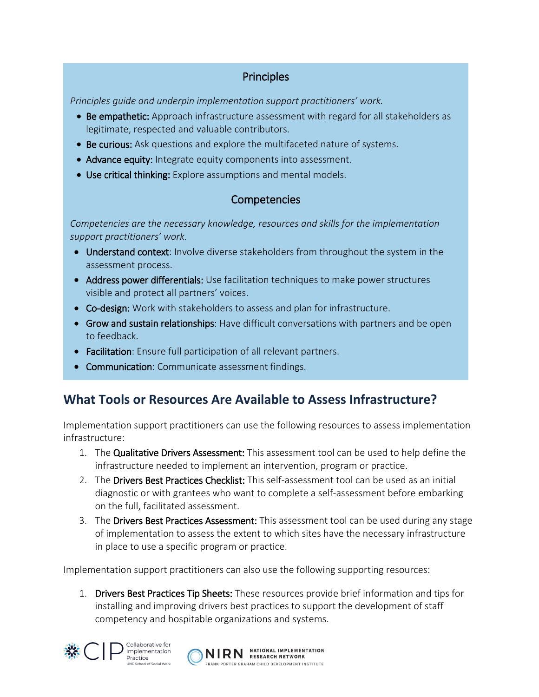### **Principles**

*Principles guide and underpin implementation support practitioners' work.* 

- Be empathetic: Approach infrastructure assessment with regard for all stakeholders as legitimate, respected and valuable contributors.
- Be curious: Ask questions and explore the multifaceted nature of systems.
- Advance equity: Integrate equity components into assessment.
- Use critical thinking: Explore assumptions and mental models.

### **Competencies**

*Competencies are the necessary knowledge, resources and skills for the implementation support practitioners' work.* 

- Understand context: Involve diverse stakeholders from throughout the system in the assessment process.
- Address power differentials: Use facilitation techniques to make power structures visible and protect all partners' voices.
- Co-design: Work with stakeholders to assess and plan for infrastructure.
- Grow and sustain relationships: Have difficult conversations with partners and be open to feedback.
- Facilitation: Ensure full participation of all relevant partners.
- Communication: Communicate assessment findings.

## **What Tools or Resources Are Available to Assess Infrastructure?**

Implementation support practitioners can use the following resources to assess implementation infrastructure:

- 1. The Qualitative Drivers Assessment: This assessment tool can be used to help define the infrastructure needed to implement an intervention, program or practice.
- 2. The Drivers Best Practices Checklist: This self-assessment tool can be used as an initial diagnostic or with grantees who want to complete a self-assessment before embarking on the full, facilitated assessment.
- 3. The Drivers Best Practices Assessment: This assessment tool can be used during any stage of implementation to assess the extent to which sites have the necessary infrastructure in place to use a specific program or practice.

Implementation support practitioners can also use the following supporting resources:

1. Drivers Best Practices Tip Sheets: These resources provide brief information and tips for installing and improving drivers best practices to support the development of staff competency and hospitable organizations and systems.